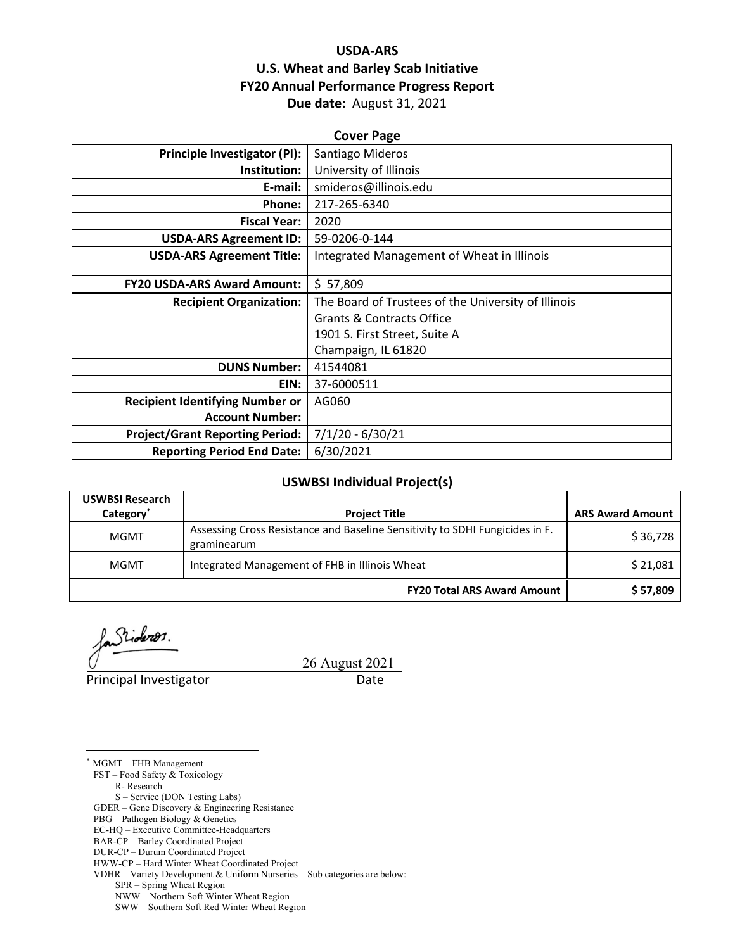# **USDA‐ARS U.S. Wheat and Barley Scab Initiative FY20 Annual Performance Progress Report Due date:** August 31, 2021

| <b>Cover Page</b>                      |                                                     |  |  |
|----------------------------------------|-----------------------------------------------------|--|--|
| <b>Principle Investigator (PI):</b>    | Santiago Mideros                                    |  |  |
| Institution:                           | University of Illinois                              |  |  |
| E-mail:                                | smideros@illinois.edu                               |  |  |
| Phone:                                 | 217-265-6340                                        |  |  |
| <b>Fiscal Year:</b>                    | 2020                                                |  |  |
| <b>USDA-ARS Agreement ID:</b>          | 59-0206-0-144                                       |  |  |
| <b>USDA-ARS Agreement Title:</b>       | Integrated Management of Wheat in Illinois          |  |  |
|                                        |                                                     |  |  |
| <b>FY20 USDA-ARS Award Amount:</b>     | \$57,809                                            |  |  |
| <b>Recipient Organization:</b>         | The Board of Trustees of the University of Illinois |  |  |
|                                        | <b>Grants &amp; Contracts Office</b>                |  |  |
|                                        | 1901 S. First Street, Suite A                       |  |  |
|                                        | Champaign, IL 61820                                 |  |  |
| <b>DUNS Number:</b>                    | 41544081                                            |  |  |
| EIN:                                   | 37-6000511                                          |  |  |
| <b>Recipient Identifying Number or</b> | AG060                                               |  |  |
| <b>Account Number:</b>                 |                                                     |  |  |
| <b>Project/Grant Reporting Period:</b> | $7/1/20 - 6/30/21$                                  |  |  |
| <b>Reporting Period End Date:</b>      | 6/30/2021                                           |  |  |

### **USWBSI Individual Project(s)**

| <b>USWBSI Research</b><br>Category <sup>*</sup> | <b>Project Title</b>                                                                        | <b>ARS Award Amount</b> |
|-------------------------------------------------|---------------------------------------------------------------------------------------------|-------------------------|
| <b>MGMT</b>                                     | Assessing Cross Resistance and Baseline Sensitivity to SDHI Fungicides in F.<br>graminearum | \$36,728                |
| <b>MGMT</b>                                     | Integrated Management of FHB in Illinois Wheat                                              | \$21,081                |
|                                                 | <b>FY20 Total ARS Award Amount</b>                                                          | \$57,809                |

Stideros.

Principal Investigator **Date** 

26 August 2021

\* MGMT – FHB Management

<u>.</u>

FST – Food Safety & Toxicology

R- Research

S – Service (DON Testing Labs)

GDER – Gene Discovery & Engineering Resistance

PBG – Pathogen Biology & Genetics

EC-HQ – Executive Committee-Headquarters

BAR-CP – Barley Coordinated Project

DUR-CP – Durum Coordinated Project

HWW-CP – Hard Winter Wheat Coordinated Project VDHR – Variety Development & Uniform Nurseries – Sub categories are below:

SPR – Spring Wheat Region

NWW – Northern Soft Winter Wheat Region

SWW – Southern Soft Red Winter Wheat Region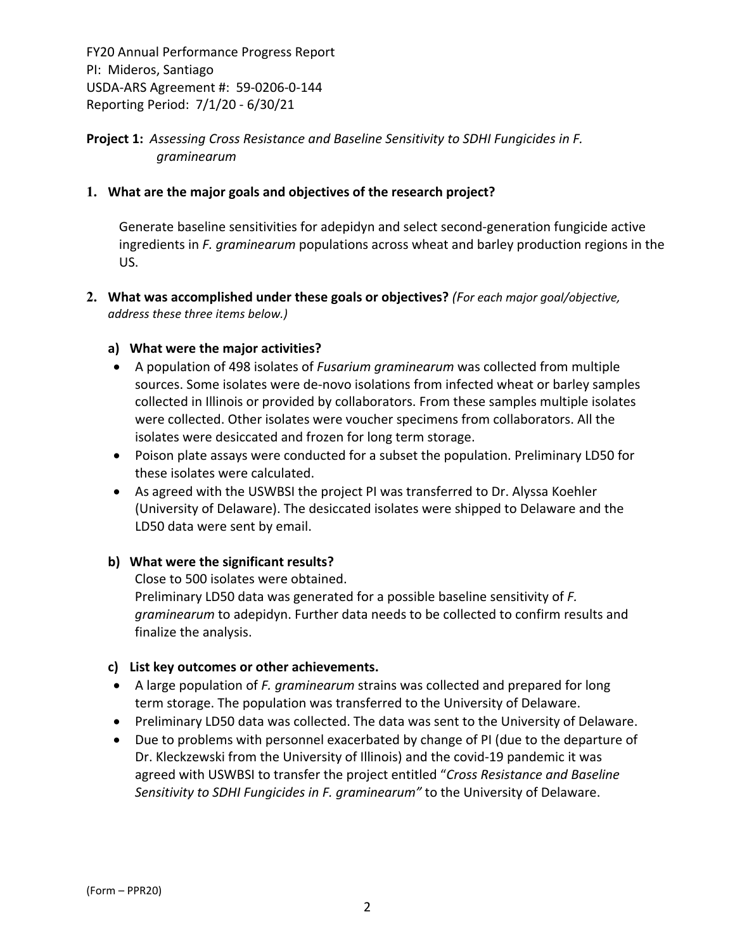# **Project 1:** *Assessing Cross Resistance and Baseline Sensitivity to SDHI Fungicides in F. graminearum*

## **1. What are the major goals and objectives of the research project?**

Generate baseline sensitivities for adepidyn and select second‐generation fungicide active ingredients in *F. graminearum* populations across wheat and barley production regions in the US.

**2. What was accomplished under these goals or objectives?** *(For each major goal/objective, address these three items below.)*

### **a) What were the major activities?**

- A population of 498 isolates of *Fusarium graminearum* was collected from multiple sources. Some isolates were de‐novo isolations from infected wheat or barley samples collected in Illinois or provided by collaborators. From these samples multiple isolates were collected. Other isolates were voucher specimens from collaborators. All the isolates were desiccated and frozen for long term storage.
- Poison plate assays were conducted for a subset the population. Preliminary LD50 for these isolates were calculated.
- As agreed with the USWBSI the project PI was transferred to Dr. Alyssa Koehler (University of Delaware). The desiccated isolates were shipped to Delaware and the LD50 data were sent by email.

# **b) What were the significant results?**

Close to 500 isolates were obtained. Preliminary LD50 data was generated for a possible baseline sensitivity of *F. graminearum* to adepidyn. Further data needs to be collected to confirm results and finalize the analysis.

### **c) List key outcomes or other achievements.**

- A large population of *F. graminearum* strains was collected and prepared for long term storage. The population was transferred to the University of Delaware.
- Preliminary LD50 data was collected. The data was sent to the University of Delaware.
- Due to problems with personnel exacerbated by change of PI (due to the departure of Dr. Kleckzewski from the University of Illinois) and the covid‐19 pandemic it was agreed with USWBSI to transfer the project entitled "*Cross Resistance and Baseline Sensitivity to SDHI Fungicides in F. graminearum"* to the University of Delaware.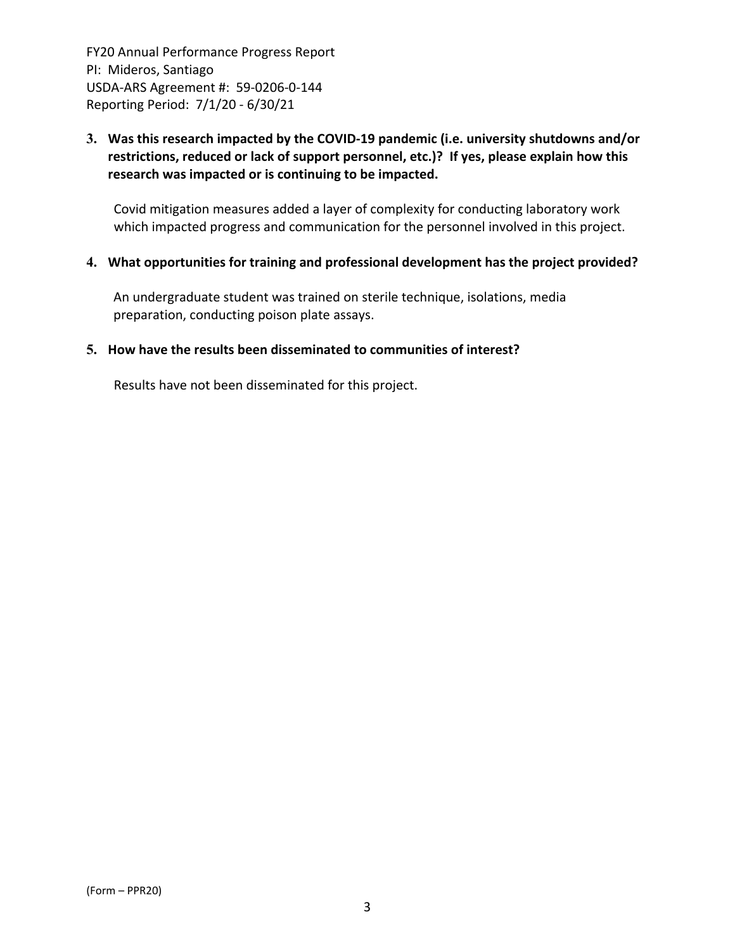# **3. Was this research impacted by the COVID‐19 pandemic (i.e. university shutdowns and/or restrictions, reduced or lack of support personnel, etc.)? If yes, please explain how this research was impacted or is continuing to be impacted.**

Covid mitigation measures added a layer of complexity for conducting laboratory work which impacted progress and communication for the personnel involved in this project.

## **4. What opportunities for training and professional development has the project provided?**

An undergraduate student was trained on sterile technique, isolations, media preparation, conducting poison plate assays.

### **5. How have the results been disseminated to communities of interest?**

Results have not been disseminated for this project.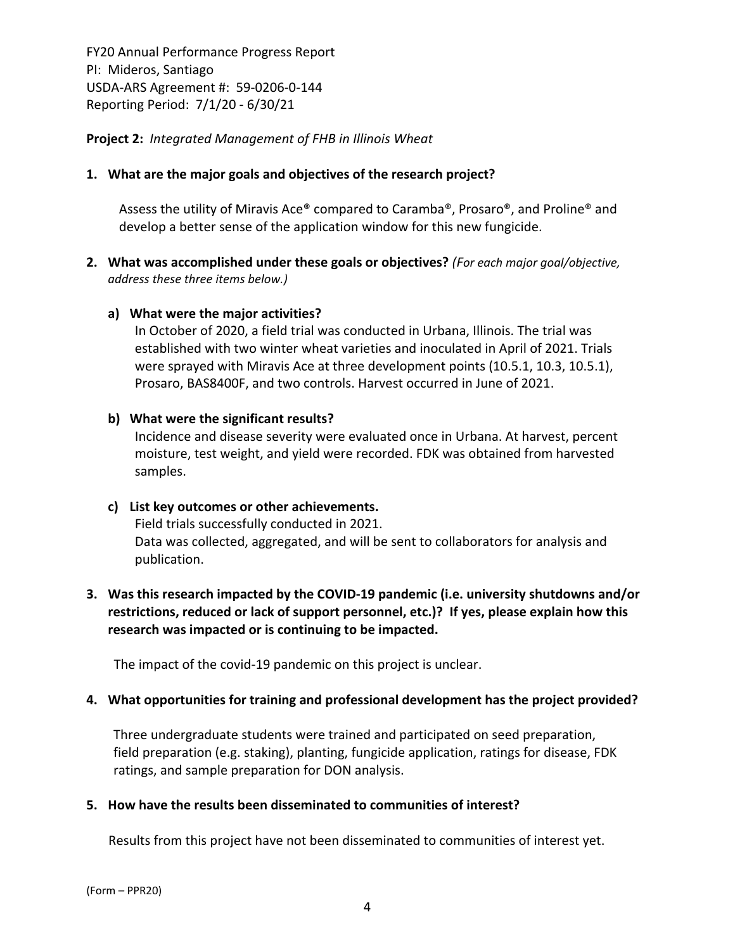**Project 2:** *Integrated Management of FHB in Illinois Wheat*

## **1. What are the major goals and objectives of the research project?**

Assess the utility of Miravis Ace® compared to Caramba®, Prosaro®, and Proline® and develop a better sense of the application window for this new fungicide.

**2. What was accomplished under these goals or objectives?** *(For each major goal/objective, address these three items below.)*

## **a) What were the major activities?**

In October of 2020, a field trial was conducted in Urbana, Illinois. The trial was established with two winter wheat varieties and inoculated in April of 2021. Trials were sprayed with Miravis Ace at three development points (10.5.1, 10.3, 10.5.1), Prosaro, BAS8400F, and two controls. Harvest occurred in June of 2021.

## **b) What were the significant results?**

Incidence and disease severity were evaluated once in Urbana. At harvest, percent moisture, test weight, and yield were recorded. FDK was obtained from harvested samples.

### **c) List key outcomes or other achievements.**

Field trials successfully conducted in 2021. Data was collected, aggregated, and will be sent to collaborators for analysis and publication.

# **3. Was this research impacted by the COVID‐19 pandemic (i.e. university shutdowns and/or restrictions, reduced or lack of support personnel, etc.)? If yes, please explain how this research was impacted or is continuing to be impacted.**

The impact of the covid‐19 pandemic on this project is unclear.

# **4. What opportunities for training and professional development has the project provided?**

Three undergraduate students were trained and participated on seed preparation, field preparation (e.g. staking), planting, fungicide application, ratings for disease, FDK ratings, and sample preparation for DON analysis.

# **5. How have the results been disseminated to communities of interest?**

Results from this project have not been disseminated to communities of interest yet.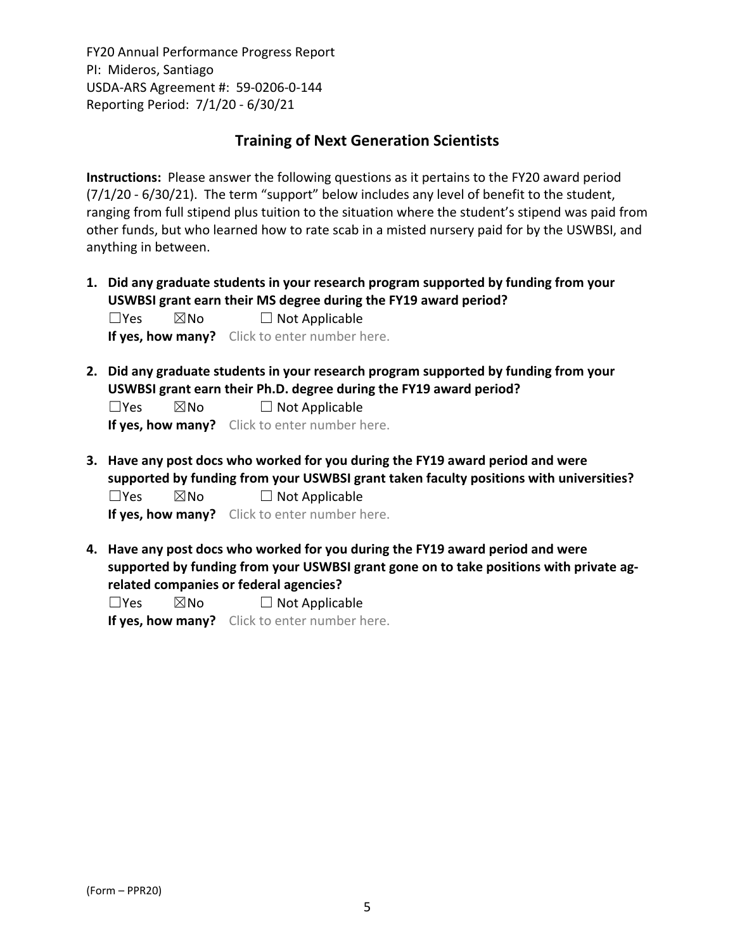# **Training of Next Generation Scientists**

**Instructions:** Please answer the following questions as it pertains to the FY20 award period  $(7/1/20 - 6/30/21)$ . The term "support" below includes any level of benefit to the student, ranging from full stipend plus tuition to the situation where the student's stipend was paid from other funds, but who learned how to rate scab in a misted nursery paid for by the USWBSI, and anything in between.

**1. Did any graduate students in your research program supported by funding from your USWBSI grant earn their MS degree during the FY19 award period?**  $\Box$ Yes  $\boxtimes$ No  $\Box$  Not Applicable

**If yes, how many?** Click to enter number here.

**2. Did any graduate students in your research program supported by funding from your USWBSI grant earn their Ph.D. degree during the FY19 award period?**

 $\Box$ Yes  $\boxtimes$ No  $\Box$  Not Applicable

**If yes, how many?** Click to enter number here.

**3. Have any post docs who worked for you during the FY19 award period and were supported by funding from your USWBSI grant taken faculty positions with universities?**  $\Box$ Yes  $\boxtimes$ No  $\Box$  Not Applicable

**If yes, how many?** Click to enter number here.

**4. Have any post docs who worked for you during the FY19 award period and were supported by funding from your USWBSI grant gone on to take positions with private ag‐ related companies or federal agencies?**

 $\square$ Yes  $\square$ No  $\square$  Not Applicable

**If yes, how many?** Click to enter number here.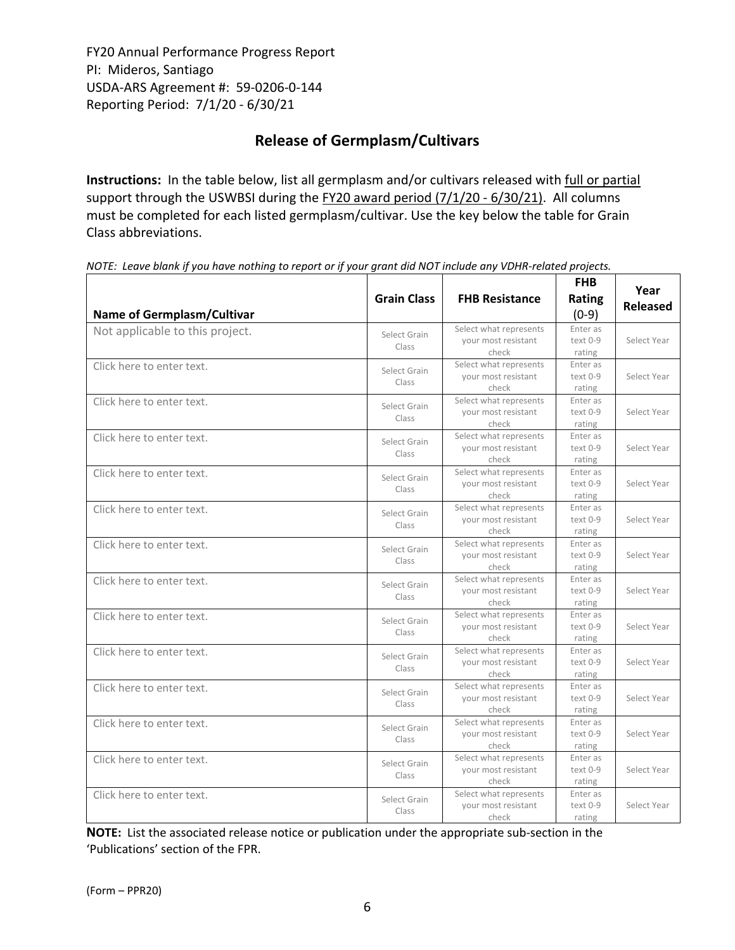# **Release of Germplasm/Cultivars**

**Instructions:** In the table below, list all germplasm and/or cultivars released with full or partial support through the USWBSI during the FY20 award period (7/1/20 - 6/30/21). All columns must be completed for each listed germplasm/cultivar. Use the key below the table for Grain Class abbreviations. 

| <b>Name of Germplasm/Cultivar</b> | <b>Grain Class</b>    | <b>FHB Resistance</b>                                  | <b>FHB</b><br>Rating<br>$(0-9)$ | Year<br><b>Released</b> |
|-----------------------------------|-----------------------|--------------------------------------------------------|---------------------------------|-------------------------|
| Not applicable to this project.   | Select Grain<br>Class | Select what represents<br>your most resistant<br>check | Enter as<br>text 0-9<br>rating  | Select Year             |
| Click here to enter text.         | Select Grain<br>Class | Select what represents<br>your most resistant<br>check | Enter as<br>text 0-9<br>rating  | Select Year             |
| Click here to enter text.         | Select Grain<br>Class | Select what represents<br>your most resistant<br>check | Enter as<br>text 0-9<br>rating  | Select Year             |
| Click here to enter text.         | Select Grain<br>Class | Select what represents<br>your most resistant<br>check | Enter as<br>text 0-9<br>rating  | Select Year             |
| Click here to enter text.         | Select Grain<br>Class | Select what represents<br>your most resistant<br>check | Enter as<br>text 0-9<br>rating  | Select Year             |
| Click here to enter text.         | Select Grain<br>Class | Select what represents<br>your most resistant<br>check | Enter as<br>text 0-9<br>rating  | Select Year             |
| Click here to enter text.         | Select Grain<br>Class | Select what represents<br>your most resistant<br>check | Enter as<br>text 0-9<br>rating  | Select Year             |
| Click here to enter text.         | Select Grain<br>Class | Select what represents<br>your most resistant<br>check | Enter as<br>text 0-9<br>rating  | Select Year             |
| Click here to enter text.         | Select Grain<br>Class | Select what represents<br>your most resistant<br>check | Enter as<br>text 0-9<br>rating  | Select Year             |
| Click here to enter text.         | Select Grain<br>Class | Select what represents<br>your most resistant<br>check | Enter as<br>text 0-9<br>rating  | Select Year             |
| Click here to enter text.         | Select Grain<br>Class | Select what represents<br>your most resistant<br>check | Enter as<br>text 0-9<br>rating  | Select Year             |
| Click here to enter text.         | Select Grain<br>Class | Select what represents<br>your most resistant<br>check | Enter as<br>text 0-9<br>rating  | Select Year             |
| Click here to enter text.         | Select Grain<br>Class | Select what represents<br>your most resistant<br>check | Enter as<br>text 0-9<br>rating  | Select Year             |
| Click here to enter text.         | Select Grain<br>Class | Select what represents<br>your most resistant<br>check | Enter as<br>text 0-9<br>rating  | Select Year             |

NOTE: Leave blank if you have nothing to report or if your grant did NOT include any VDHR-related projects.

**NOTE:** List the associated release notice or publication under the appropriate sub-section in the 'Publications' section of the FPR.